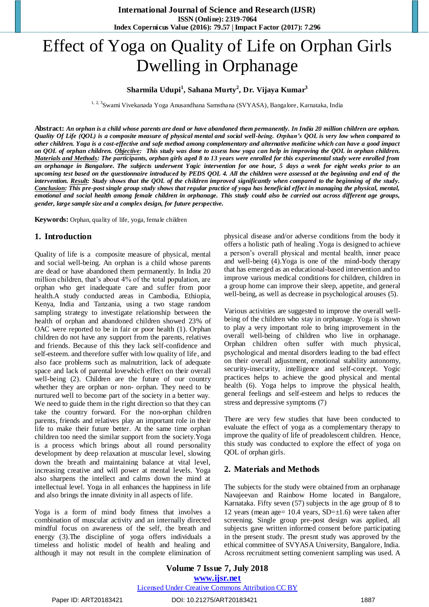# Effect of Yoga on Quality of Life on Orphan Girls Dwelling in Orphanage

## **Sharmila Udupi<sup>1</sup> , Sahana Murty<sup>2</sup> , Dr. Vijaya Kumar<sup>3</sup>**

<sup>1, 2, 3</sup>Swami Vivekanada Yoga Anusandhana Samsthana (SVYASA), Bangalore, Karnataka, India

**Abstract:** *An orphan is a child whose parents are dead or have abandoned them permanently. In India 20 million children are orphan. Quality Of Life (QOL) is a composite measure of physical mental and social well-being. Orphan's QOL is very low when compared to other children. Yoga is a cost-effective and safe method among complementary and alternative medicine which can have a good impact on QOL of orphan children. Objective: This study was done to assess how yoga can help in improving the QOL in orphan children. Materials and Methods: The participants, orphan girls aged 8 to 13 years were enrolled for this experimental study were enrolled from an orphanage in Bangalore. The subjects underwent Yogic intervention for one hour, 5 days a week for eight weeks prior to an upcoming test based on the questionnaire introduced by PEDS QOL 4. All the children were assessed at the beginning and end of the intervention. Result: Study shows that the QOL of the children improved significantly when compared to the beginning of the study. Conclusion: This pre-post single group study shows that regular practice of yoga has beneficial effect in managing the physical, mental, emotional and social health among female children in orphanage. This study could also be carried out across different age groups, gender, large sample size and a complex design, for future perspective.*

**Keywords:** Orphan, quality of life, yoga, female children

## **1. Introduction**

Quality of life is a composite measure of physical, mental and social well-being. An orphan is a child whose parents are dead or have abandoned them permanently. In India 20 million children, that's about 4% of the total population, are orphan who get inadequate care and suffer from poor health.A study conducted areas in Cambodia, Ethiopia, Kenya, India and Tanzania, using a two stage random sampling strategy to investigate relationship between the health of orphan and abandoned children showed 23% of OAC were reported to be in fair or poor health (1). Orphan children do not have any support from the parents, relatives and friends. Because of this they lack self-confidence and self-esteem. and therefore suffer with low quality of life, and also face problems such as malnutrition, lack of adequate space and lack of parental lovewhich effect on their overall well-being (2). Children are the future of our country whether they are orphan or non- orphan. They need to be nurtured well to become part of the society in a better way. We need to guide them in the right direction so that they can take the country forward. For the non-orphan children parents, friends and relatives play an important role in their life to make their future better. At the same time orphan children too need the similar support from the society.Yoga is a process which brings about all round personality development by deep relaxation at muscular level, slowing down the breath and maintaining balance at vital level, increasing creative and will power at mental levels. Yoga also sharpens the intellect and calms down the mind at intellectual level. Yoga in all enhances the happiness in life and also brings the innate divinity in all aspects of life.

Yoga is a form of mind body fitness that involves a combination of muscular activity and an internally directed mindful focus on awareness of the self, the breath and energy (3).The discipline of yoga offers individuals a timeless and holistic model of health and healing and although it may not result in the complete elimination of physical disease and/or adverse conditions from the body it offers a holistic path of healing .Yoga is designed to achieve a person's overall physical and mental health, inner peace and well-being (4).Yoga is one of the mind-body therapy that has emerged as an educational-based intervention and to improve various medical conditions for children, children in a group home can improve their sleep, appetite, and general well-being, as well as decrease in psychological arouses (5).

Various activities are suggested to improve the overall wellbeing of the children who stay in orphanage. Yoga is shown to play a very important role to bring improvement in the overall well-being of children who live in orphanage. Orphan children often suffer with much physical, psychological and mental disorders leading to the bad effect on their overall adjustment, emotional stability autonomy, security-insecurity, intelligence and self-concept. Yogic practices helps to achieve the good physical and mental health (6). Yoga helps to improve the physical health, general feelings and self-esteem and helps to reduces the stress and depressive symptoms (7)

There are very few studies that have been conducted to evaluate the effect of yoga as a complementary therapy to improve the quality of life of preadolescent children. Hence, this study was conducted to explore the effect of yoga on QOL of orphan girls.

## **2. Materials and Methods**

The subjects for the study were obtained from an orphanage Navajeevan and Rainbow Home located in Bangalore, Karnataka. Fifty seven (57) subjects in the age group of 8 to 12 years (mean age=  $10.4$  years, SD= $\pm$ 1.6) were taken after screening. Single group pre-post design was applied, all subjects gave written informed consent before participating in the present study. The presnt study was approved by the ethical committee of SVYASA University, Bangalore, India. Across recruitment setting convenient sampling was used. A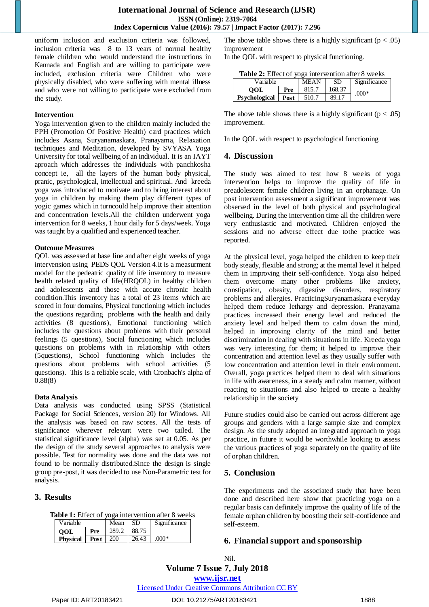uniform inclusion and exclusion criteria was followed, inclusion criteria was 8 to 13 years of normal healthy female children who would understand the instructions in Kannada and English and are willing to participate were included, exclusion criteria were Children who were physically disabled, who were suffering with mental illness and who were not willing to participate were excluded from the study.

#### **Intervention**

Yoga intervention given to the children mainly included the PPH (Promotion Of Positive Health) card practices which includes Asana, Suryanamaskara, Pranayama, Relaxation techniques and Meditation, developed by SVYASA Yoga University for total wellbeing of an individual. It is an IAYT aproach which addresses the individuals with panchkosha concept ie, all the layers of the human body physical, pranic, psychological, intellectual and spiritual. And kreeda yoga was introduced to motivate and to bring interest about yoga in children by making them play different types of yogic games which in turncould help improve their attention and concentration levels.All the children underwent yoga intervention for 8 weeks, 1 hour daily for 5 days/week. Yoga was taught by a qualified and experienced teacher.

#### **Outcome Measures**

QOL was assessed at base line and after eight weeks of yoga intervension using PEDS QOL Version 4.It is a measurment model for the pedeatric quality of life inventory to measure health related quality of life(HRQOL) in healthy children and adolescents and those with accute chronic health condition.This inventory has a total of 23 items which are scored in four domains, Physical functioning which includes the questions regarding problems with the health and daily activities (8 questions), Emotional functioning which includes the questions about problems with their personal feelings (5 questions), Social functioning which includes questions on problems with in relationship with others (5questions), School functioning which includes the questions about problems with school activities (5 questions). This is a reliable scale, with Cronbach's alpha of 0.88(8)

## **Data Analysis**

Data analysis was conducted using SPSS (Statistical Package for Social Sciences, version 20) for Windows. All the analysis was based on raw scores. All the tests of significance wherever relevant were two tailed. The statistical significance level (alpha) was set at 0.05. As per the design of the study several approaches to analysis were possible. Test for normality was done and the data was not found to be normally distributed.Since the design is single group pre-post, it was decided to use Non-Parametric test for analysis.

# **3. Results**

|  | Table 1: Effect of yoga intervention after 8 weeks |  |  |  |
|--|----------------------------------------------------|--|--|--|
|  |                                                    |  |  |  |

| Variable        |      | Mean       | -SD   | Significance |
|-----------------|------|------------|-------|--------------|
| <b>OOL</b>      | Pre  | 289.2      | 88.75 |              |
| <b>Physical</b> | Post | <b>200</b> | 26.43 | $.000*$      |

The above table shows there is a highly significant ( $p < .05$ ) improvement

In the QOL with respect to physical functioning.

| <b>Table 2:</b> Effect of yoga intervention after 8 weeks |  |               |
|-----------------------------------------------------------|--|---------------|
| 17. II                                                    |  | $\frac{1}{2}$ |

| Variable                    | <b>MEAN</b> | SD    | Significance |         |  |
|-----------------------------|-------------|-------|--------------|---------|--|
| OOL<br><b>Psychological</b> | Pre         | 815.7 | 168.37       | $.000*$ |  |
|                             | Post        | 510.7 | 89.17        |         |  |
|                             |             |       |              |         |  |

The above table shows there is a highly significant ( $p < .05$ ) improvement.

In the QOL with respect to psychological functioning

## **4. Discussion**

The study was aimed to test how 8 weeks of yoga intervention helps to improve the quality of life in preadolescent female children living in an orphanage. On post intervention assessment a significant improvement was observed in the level of both physical and psychological wellbeing. During the intervention time all the children were very enthusiastic and motivated. Children enjoyed the sessions and no adverse effect due tothe practice was reported.

At the physical level, yoga helped the children to keep their body steady, flexible and strong; at the mental level it helped them in improving their self-confidence. Yoga also helped them overcome many other problems like anxiety, constipation, obesity, digestive disorders, respiratory problems and allergies. PracticingSuryanamaskara everyday helped them reduce lethargy and depression. Pranayama practices increased their energy level and reduced the anxiety level and helped them to calm down the mind, helped in improving clarity of the mind and better discrimination in dealing with situations in life. Kreeda yoga was very interesting for them; it helped to improve their concentration and attention level as they usually suffer with low concentration and attention level in their environment. Overall, yoga practices helped them to deal with situations in life with awareness, in a steady and calm manner, without reacting to situations and also helped to create a healthy relationship in the society

Future studies could also be carried out across different age groups and genders with a large sample size and complex design. As the study adopted an integrated approach to yoga practice, in future it would be worthwhile looking to assess the various practices of yoga separately on the quality of life of orphan children.

# **5. Conclusion**

The experiments and the associated study that have been done and described here show that practicing yoga on a regular basis can definitely improve the quality of life of the female orphan children by boosting their self-confidence and self-esteem.

# **6. Financial support and sponsorship**

**Volume 7 Issue 7, July 2018 <www.ijsr.net>** Nil.

[Licensed Under Creative Commons Attribution CC BY](http://creativecommons.org/licenses/by/4.0/)